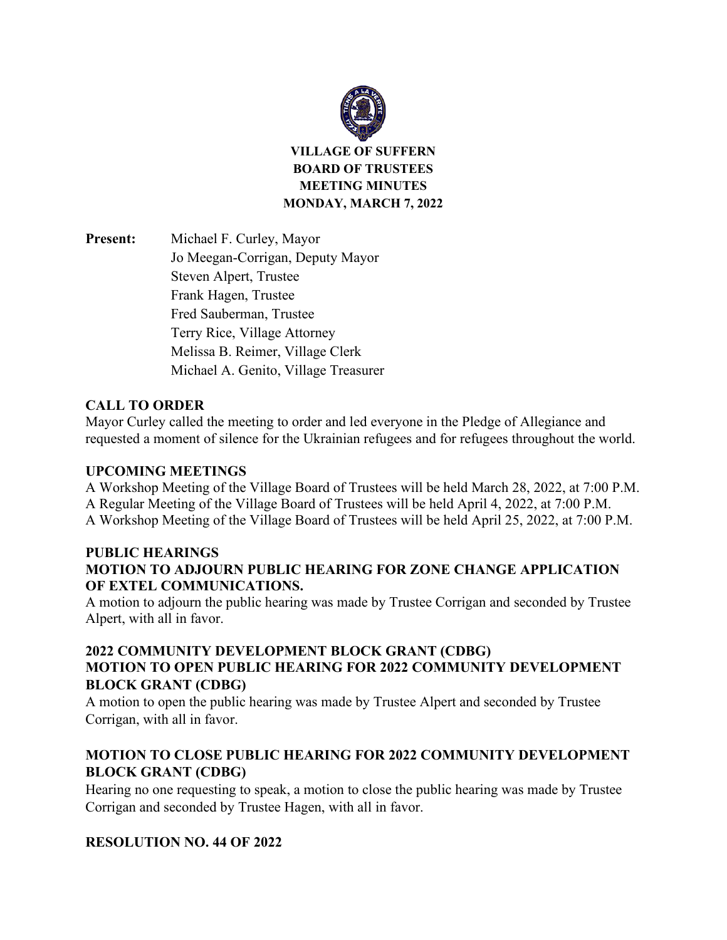

**VILLAGE OF SUFFERN BOARD OF TRUSTEES MEETING MINUTES MONDAY, MARCH 7, 2022**

**Present:** Michael F. Curley, Mayor Jo Meegan-Corrigan, Deputy Mayor Steven Alpert, Trustee Frank Hagen, Trustee Fred Sauberman, Trustee Terry Rice, Village Attorney Melissa B. Reimer, Village Clerk Michael A. Genito, Village Treasurer

## **CALL TO ORDER**

Mayor Curley called the meeting to order and led everyone in the Pledge of Allegiance and requested a moment of silence for the Ukrainian refugees and for refugees throughout the world.

#### **UPCOMING MEETINGS**

A Workshop Meeting of the Village Board of Trustees will be held March 28, 2022, at 7:00 P.M. A Regular Meeting of the Village Board of Trustees will be held April 4, 2022, at 7:00 P.M. A Workshop Meeting of the Village Board of Trustees will be held April 25, 2022, at 7:00 P.M.

#### **PUBLIC HEARINGS MOTION TO ADJOURN PUBLIC HEARING FOR ZONE CHANGE APPLICATION OF EXTEL COMMUNICATIONS.**

A motion to adjourn the public hearing was made by Trustee Corrigan and seconded by Trustee Alpert, with all in favor.

## **2022 COMMUNITY DEVELOPMENT BLOCK GRANT (CDBG) MOTION TO OPEN PUBLIC HEARING FOR 2022 COMMUNITY DEVELOPMENT BLOCK GRANT (CDBG)**

A motion to open the public hearing was made by Trustee Alpert and seconded by Trustee Corrigan, with all in favor.

## **MOTION TO CLOSE PUBLIC HEARING FOR 2022 COMMUNITY DEVELOPMENT BLOCK GRANT (CDBG)**

Hearing no one requesting to speak, a motion to close the public hearing was made by Trustee Corrigan and seconded by Trustee Hagen, with all in favor.

## **RESOLUTION NO. 44 OF 2022**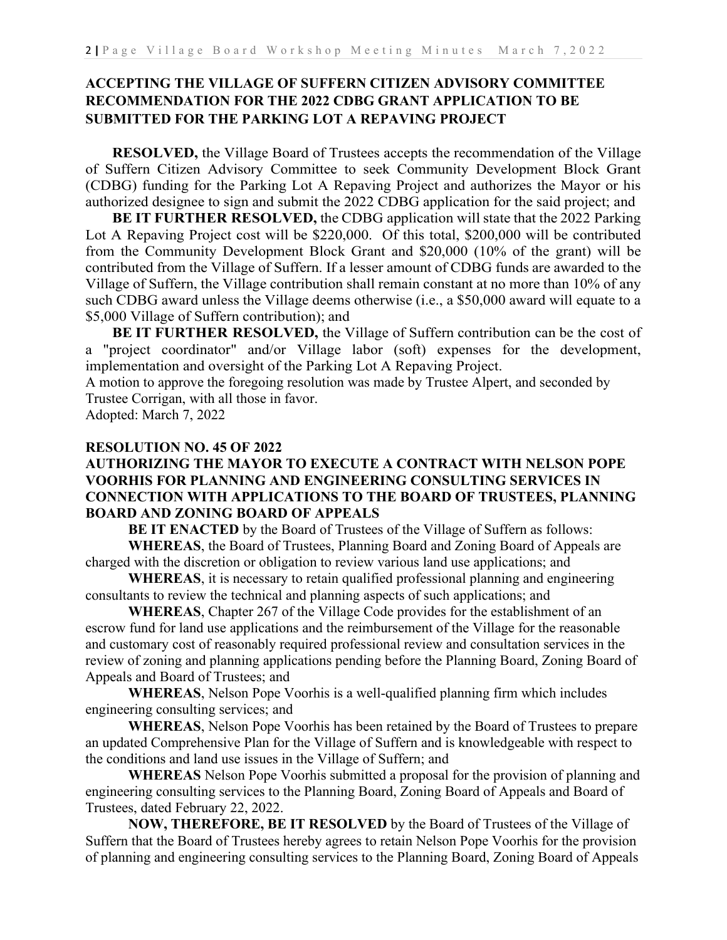## **ACCEPTING THE VILLAGE OF SUFFERN CITIZEN ADVISORY COMMITTEE RECOMMENDATION FOR THE 2022 CDBG GRANT APPLICATION TO BE SUBMITTED FOR THE PARKING LOT A REPAVING PROJECT**

**RESOLVED,** the Village Board of Trustees accepts the recommendation of the Village of Suffern Citizen Advisory Committee to seek Community Development Block Grant (CDBG) funding for the Parking Lot A Repaving Project and authorizes the Mayor or his authorized designee to sign and submit the 2022 CDBG application for the said project; and

**BE IT FURTHER RESOLVED,** the CDBG application will state that the 2022 Parking Lot A Repaving Project cost will be \$220,000. Of this total, \$200,000 will be contributed from the Community Development Block Grant and \$20,000 (10% of the grant) will be contributed from the Village of Suffern. If a lesser amount of CDBG funds are awarded to the Village of Suffern, the Village contribution shall remain constant at no more than 10% of any such CDBG award unless the Village deems otherwise (i.e., a \$50,000 award will equate to a \$5,000 Village of Suffern contribution); and

**BE IT FURTHER RESOLVED,** the Village of Suffern contribution can be the cost of a "project coordinator" and/or Village labor (soft) expenses for the development, implementation and oversight of the Parking Lot A Repaving Project.

A motion to approve the foregoing resolution was made by Trustee Alpert, and seconded by Trustee Corrigan, with all those in favor.

Adopted: March 7, 2022

## **RESOLUTION NO. 45 OF 2022**

## **AUTHORIZING THE MAYOR TO EXECUTE A CONTRACT WITH NELSON POPE VOORHIS FOR PLANNING AND ENGINEERING CONSULTING SERVICES IN CONNECTION WITH APPLICATIONS TO THE BOARD OF TRUSTEES, PLANNING BOARD AND ZONING BOARD OF APPEALS**

**BE IT ENACTED** by the Board of Trustees of the Village of Suffern as follows:

**WHEREAS**, the Board of Trustees, Planning Board and Zoning Board of Appeals are charged with the discretion or obligation to review various land use applications; and

**WHEREAS**, it is necessary to retain qualified professional planning and engineering consultants to review the technical and planning aspects of such applications; and

WHEREAS, Chapter 267 of the Village Code provides for the establishment of an escrow fund for land use applications and the reimbursement of the Village for the reasonable and customary cost of reasonably required professional review and consultation services in the review of zoning and planning applications pending before the Planning Board, Zoning Board of Appeals and Board of Trustees; and

**WHEREAS**, Nelson Pope Voorhis is a well-qualified planning firm which includes engineering consulting services; and

**WHEREAS**, Nelson Pope Voorhis has been retained by the Board of Trustees to prepare an updated Comprehensive Plan for the Village of Suffern and is knowledgeable with respect to the conditions and land use issues in the Village of Suffern; and

**WHEREAS** Nelson Pope Voorhis submitted a proposal for the provision of planning and engineering consulting services to the Planning Board, Zoning Board of Appeals and Board of Trustees, dated February 22, 2022.

**NOW, THEREFORE, BE IT RESOLVED** by the Board of Trustees of the Village of Suffern that the Board of Trustees hereby agrees to retain Nelson Pope Voorhis for the provision of planning and engineering consulting services to the Planning Board, Zoning Board of Appeals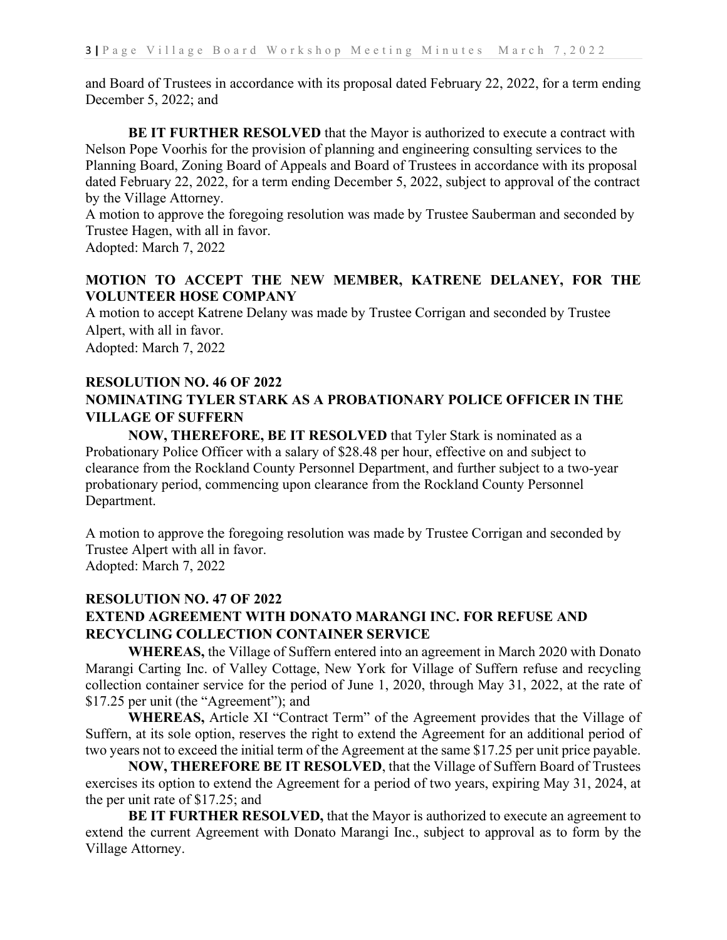and Board of Trustees in accordance with its proposal dated February 22, 2022, for a term ending December 5, 2022; and

**BE IT FURTHER RESOLVED** that the Mayor is authorized to execute a contract with Nelson Pope Voorhis for the provision of planning and engineering consulting services to the Planning Board, Zoning Board of Appeals and Board of Trustees in accordance with its proposal dated February 22, 2022, for a term ending December 5, 2022, subject to approval of the contract by the Village Attorney.

A motion to approve the foregoing resolution was made by Trustee Sauberman and seconded by Trustee Hagen, with all in favor.

Adopted: March 7, 2022

## **MOTION TO ACCEPT THE NEW MEMBER, KATRENE DELANEY, FOR THE VOLUNTEER HOSE COMPANY**

A motion to accept Katrene Delany was made by Trustee Corrigan and seconded by Trustee Alpert, with all in favor. Adopted: March 7, 2022

## **RESOLUTION NO. 46 OF 2022 NOMINATING TYLER STARK AS A PROBATIONARY POLICE OFFICER IN THE VILLAGE OF SUFFERN**

**NOW, THEREFORE, BE IT RESOLVED** that Tyler Stark is nominated as a Probationary Police Officer with a salary of \$28.48 per hour, effective on and subject to clearance from the Rockland County Personnel Department, and further subject to a two-year probationary period, commencing upon clearance from the Rockland County Personnel Department.

A motion to approve the foregoing resolution was made by Trustee Corrigan and seconded by Trustee Alpert with all in favor. Adopted: March 7, 2022

#### **RESOLUTION NO. 47 OF 2022**

## **EXTEND AGREEMENT WITH DONATO MARANGI INC. FOR REFUSE AND RECYCLING COLLECTION CONTAINER SERVICE**

**WHEREAS,** the Village of Suffern entered into an agreement in March 2020 with Donato Marangi Carting Inc. of Valley Cottage, New York for Village of Suffern refuse and recycling collection container service for the period of June 1, 2020, through May 31, 2022, at the rate of \$17.25 per unit (the "Agreement"); and

**WHEREAS,** Article XI "Contract Term" of the Agreement provides that the Village of Suffern, at its sole option, reserves the right to extend the Agreement for an additional period of two years not to exceed the initial term of the Agreement at the same \$17.25 per unit price payable.

**NOW, THEREFORE BE IT RESOLVED**, that the Village of Suffern Board of Trustees exercises its option to extend the Agreement for a period of two years, expiring May 31, 2024, at the per unit rate of \$17.25; and

**BE IT FURTHER RESOLVED,** that the Mayor is authorized to execute an agreement to extend the current Agreement with Donato Marangi Inc., subject to approval as to form by the Village Attorney.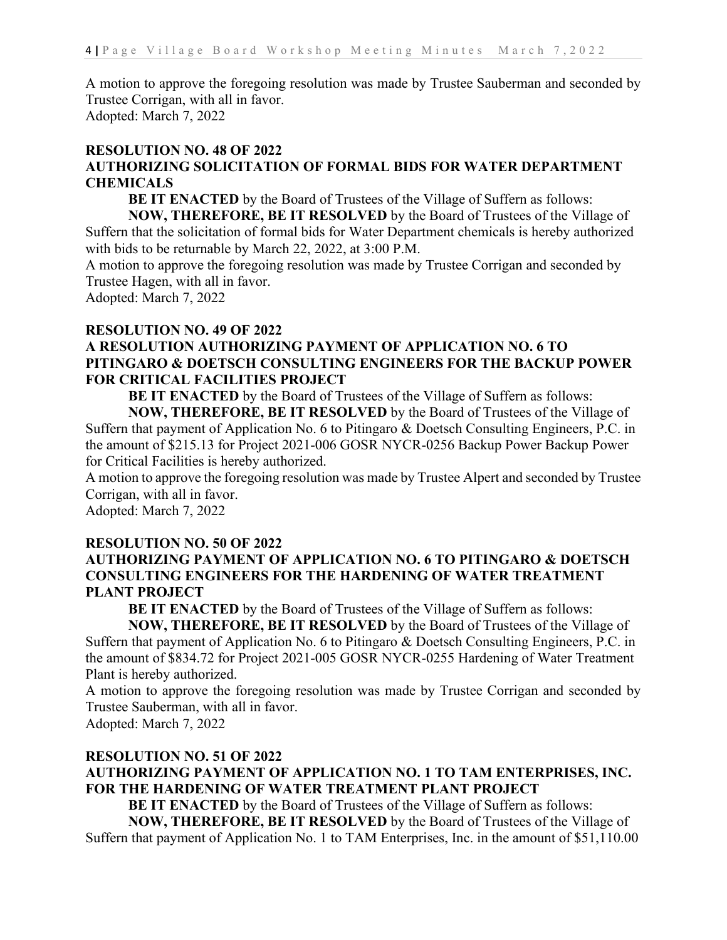A motion to approve the foregoing resolution was made by Trustee Sauberman and seconded by Trustee Corrigan, with all in favor. Adopted: March 7, 2022

#### **RESOLUTION NO. 48 OF 2022 AUTHORIZING SOLICITATION OF FORMAL BIDS FOR WATER DEPARTMENT CHEMICALS**

**BE IT ENACTED** by the Board of Trustees of the Village of Suffern as follows:

**NOW, THEREFORE, BE IT RESOLVED** by the Board of Trustees of the Village of Suffern that the solicitation of formal bids for Water Department chemicals is hereby authorized with bids to be returnable by March 22, 2022, at 3:00 P.M.

A motion to approve the foregoing resolution was made by Trustee Corrigan and seconded by Trustee Hagen, with all in favor.

Adopted: March 7, 2022

### **RESOLUTION NO. 49 OF 2022 A RESOLUTION AUTHORIZING PAYMENT OF APPLICATION NO. 6 TO PITINGARO & DOETSCH CONSULTING ENGINEERS FOR THE BACKUP POWER FOR CRITICAL FACILITIES PROJECT**

**BE IT ENACTED** by the Board of Trustees of the Village of Suffern as follows:

**NOW, THEREFORE, BE IT RESOLVED** by the Board of Trustees of the Village of Suffern that payment of Application No. 6 to Pitingaro & Doetsch Consulting Engineers, P.C. in the amount of \$215.13 for Project 2021-006 GOSR NYCR-0256 Backup Power Backup Power for Critical Facilities is hereby authorized.

A motion to approve the foregoing resolution was made by Trustee Alpert and seconded by Trustee Corrigan, with all in favor.

Adopted: March 7, 2022

#### **RESOLUTION NO. 50 OF 2022**

## **AUTHORIZING PAYMENT OF APPLICATION NO. 6 TO PITINGARO & DOETSCH CONSULTING ENGINEERS FOR THE HARDENING OF WATER TREATMENT PLANT PROJECT**

**BE IT ENACTED** by the Board of Trustees of the Village of Suffern as follows:

**NOW, THEREFORE, BE IT RESOLVED** by the Board of Trustees of the Village of Suffern that payment of Application No. 6 to Pitingaro & Doetsch Consulting Engineers, P.C. in the amount of \$834.72 for Project 2021-005 GOSR NYCR-0255 Hardening of Water Treatment Plant is hereby authorized.

A motion to approve the foregoing resolution was made by Trustee Corrigan and seconded by Trustee Sauberman, with all in favor.

Adopted: March 7, 2022

#### **RESOLUTION NO. 51 OF 2022**

## **AUTHORIZING PAYMENT OF APPLICATION NO. 1 TO TAM ENTERPRISES, INC. FOR THE HARDENING OF WATER TREATMENT PLANT PROJECT**

**BE IT ENACTED** by the Board of Trustees of the Village of Suffern as follows:

**NOW, THEREFORE, BE IT RESOLVED** by the Board of Trustees of the Village of Suffern that payment of Application No. 1 to TAM Enterprises, Inc. in the amount of \$51,110.00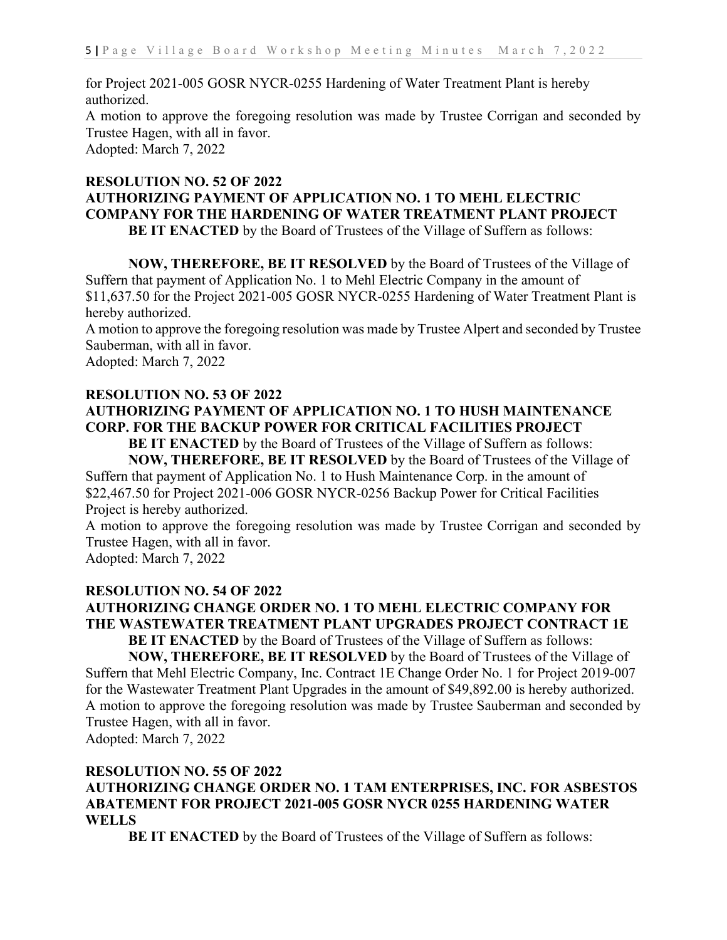for Project 2021-005 GOSR NYCR-0255 Hardening of Water Treatment Plant is hereby authorized.

A motion to approve the foregoing resolution was made by Trustee Corrigan and seconded by Trustee Hagen, with all in favor.

Adopted: March 7, 2022

## **RESOLUTION NO. 52 OF 2022 AUTHORIZING PAYMENT OF APPLICATION NO. 1 TO MEHL ELECTRIC COMPANY FOR THE HARDENING OF WATER TREATMENT PLANT PROJECT**

**BE IT ENACTED** by the Board of Trustees of the Village of Suffern as follows:

**NOW, THEREFORE, BE IT RESOLVED** by the Board of Trustees of the Village of Suffern that payment of Application No. 1 to Mehl Electric Company in the amount of \$11,637.50 for the Project 2021-005 GOSR NYCR-0255 Hardening of Water Treatment Plant is hereby authorized.

A motion to approve the foregoing resolution was made by Trustee Alpert and seconded by Trustee Sauberman, with all in favor.

Adopted: March 7, 2022

## **RESOLUTION NO. 53 OF 2022**

## **AUTHORIZING PAYMENT OF APPLICATION NO. 1 TO HUSH MAINTENANCE CORP. FOR THE BACKUP POWER FOR CRITICAL FACILITIES PROJECT**

**BE IT ENACTED** by the Board of Trustees of the Village of Suffern as follows:

**NOW, THEREFORE, BE IT RESOLVED** by the Board of Trustees of the Village of Suffern that payment of Application No. 1 to Hush Maintenance Corp. in the amount of \$22,467.50 for Project 2021-006 GOSR NYCR-0256 Backup Power for Critical Facilities Project is hereby authorized.

A motion to approve the foregoing resolution was made by Trustee Corrigan and seconded by Trustee Hagen, with all in favor.

Adopted: March 7, 2022

## **RESOLUTION NO. 54 OF 2022**

# **AUTHORIZING CHANGE ORDER NO. 1 TO MEHL ELECTRIC COMPANY FOR THE WASTEWATER TREATMENT PLANT UPGRADES PROJECT CONTRACT 1E**

**BE IT ENACTED** by the Board of Trustees of the Village of Suffern as follows:

**NOW, THEREFORE, BE IT RESOLVED** by the Board of Trustees of the Village of Suffern that Mehl Electric Company, Inc. Contract 1E Change Order No. 1 for Project 2019-007 for the Wastewater Treatment Plant Upgrades in the amount of \$49,892.00 is hereby authorized. A motion to approve the foregoing resolution was made by Trustee Sauberman and seconded by Trustee Hagen, with all in favor.

Adopted: March 7, 2022

## **RESOLUTION NO. 55 OF 2022 AUTHORIZING CHANGE ORDER NO. 1 TAM ENTERPRISES, INC. FOR ASBESTOS ABATEMENT FOR PROJECT 2021-005 GOSR NYCR 0255 HARDENING WATER WELLS**

**BE IT ENACTED** by the Board of Trustees of the Village of Suffern as follows: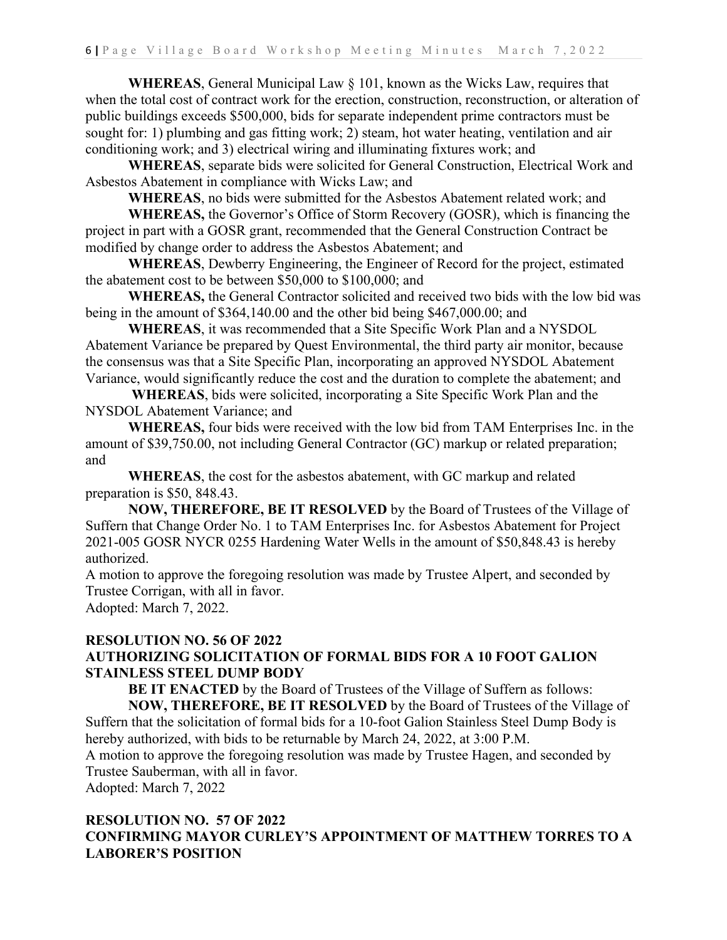**WHEREAS**, General Municipal Law § 101, known as the Wicks Law, requires that when the total cost of contract work for the erection, construction, reconstruction, or alteration of public buildings exceeds \$500,000, bids for separate independent prime contractors must be sought for: 1) plumbing and gas fitting work; 2) steam, hot water heating, ventilation and air conditioning work; and 3) electrical wiring and illuminating fixtures work; and

**WHEREAS**, separate bids were solicited for General Construction, Electrical Work and Asbestos Abatement in compliance with Wicks Law; and

**WHEREAS**, no bids were submitted for the Asbestos Abatement related work; and

**WHEREAS,** the Governor's Office of Storm Recovery (GOSR), which is financing the project in part with a GOSR grant, recommended that the General Construction Contract be modified by change order to address the Asbestos Abatement; and

**WHEREAS**, Dewberry Engineering, the Engineer of Record for the project, estimated the abatement cost to be between \$50,000 to \$100,000; and

**WHEREAS,** the General Contractor solicited and received two bids with the low bid was being in the amount of \$364,140.00 and the other bid being \$467,000.00; and

**WHEREAS**, it was recommended that a Site Specific Work Plan and a NYSDOL Abatement Variance be prepared by Quest Environmental, the third party air monitor, because the consensus was that a Site Specific Plan, incorporating an approved NYSDOL Abatement Variance, would significantly reduce the cost and the duration to complete the abatement; and

**WHEREAS**, bids were solicited, incorporating a Site Specific Work Plan and the NYSDOL Abatement Variance; and

**WHEREAS,** four bids were received with the low bid from TAM Enterprises Inc. in the amount of \$39,750.00, not including General Contractor (GC) markup or related preparation; and

**WHEREAS**, the cost for the asbestos abatement, with GC markup and related preparation is \$50, 848.43.

**NOW, THEREFORE, BE IT RESOLVED** by the Board of Trustees of the Village of Suffern that Change Order No. 1 to TAM Enterprises Inc. for Asbestos Abatement for Project 2021-005 GOSR NYCR 0255 Hardening Water Wells in the amount of \$50,848.43 is hereby authorized.

A motion to approve the foregoing resolution was made by Trustee Alpert, and seconded by Trustee Corrigan, with all in favor.

Adopted: March 7, 2022.

#### **RESOLUTION NO. 56 OF 2022 AUTHORIZING SOLICITATION OF FORMAL BIDS FOR A 10 FOOT GALION STAINLESS STEEL DUMP BODY**

**BE IT ENACTED** by the Board of Trustees of the Village of Suffern as follows: **NOW, THEREFORE, BE IT RESOLVED** by the Board of Trustees of the Village of Suffern that the solicitation of formal bids for a 10-foot Galion Stainless Steel Dump Body is hereby authorized, with bids to be returnable by March 24, 2022, at 3:00 P.M. A motion to approve the foregoing resolution was made by Trustee Hagen, and seconded by Trustee Sauberman, with all in favor.

Adopted: March 7, 2022

## **RESOLUTION NO. 57 OF 2022 CONFIRMING MAYOR CURLEY'S APPOINTMENT OF MATTHEW TORRES TO A LABORER'S POSITION**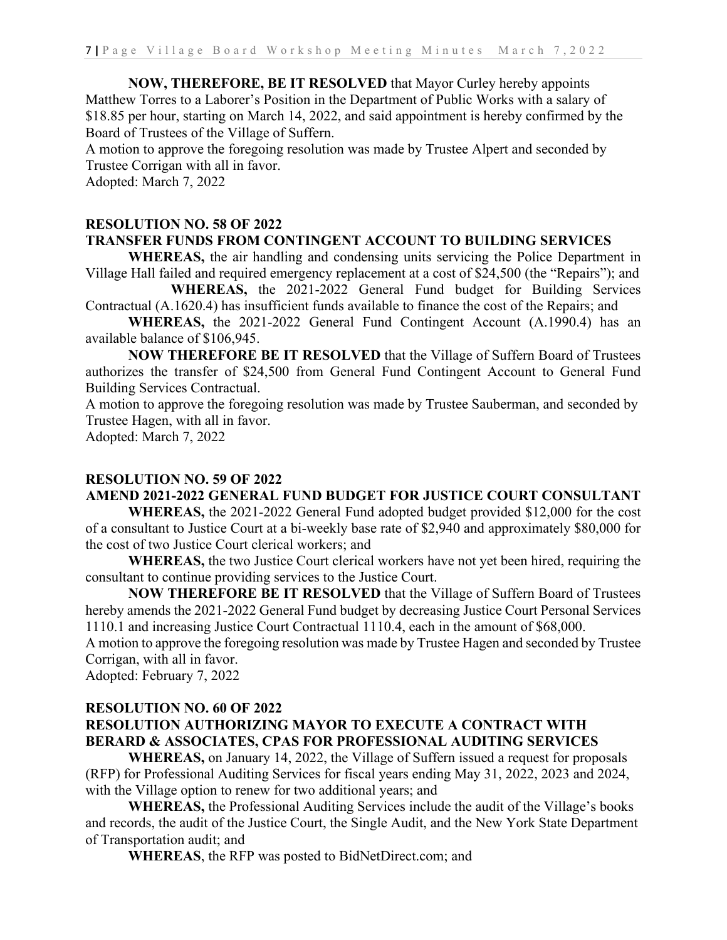**NOW, THEREFORE, BE IT RESOLVED** that Mayor Curley hereby appoints Matthew Torres to a Laborer's Position in the Department of Public Works with a salary of \$18.85 per hour, starting on March 14, 2022, and said appointment is hereby confirmed by the Board of Trustees of the Village of Suffern.

A motion to approve the foregoing resolution was made by Trustee Alpert and seconded by Trustee Corrigan with all in favor.

Adopted: March 7, 2022

#### **RESOLUTION NO. 58 OF 2022 TRANSFER FUNDS FROM CONTINGENT ACCOUNT TO BUILDING SERVICES**

**WHEREAS,** the air handling and condensing units servicing the Police Department in Village Hall failed and required emergency replacement at a cost of \$24,500 (the "Repairs"); and

**WHEREAS,** the 2021-2022 General Fund budget for Building Services Contractual (A.1620.4) has insufficient funds available to finance the cost of the Repairs; and

**WHEREAS,** the 2021-2022 General Fund Contingent Account (A.1990.4) has an available balance of \$106,945.

**NOW THEREFORE BE IT RESOLVED** that the Village of Suffern Board of Trustees authorizes the transfer of \$24,500 from General Fund Contingent Account to General Fund Building Services Contractual.

A motion to approve the foregoing resolution was made by Trustee Sauberman, and seconded by Trustee Hagen, with all in favor.

Adopted: March 7, 2022

#### **RESOLUTION NO. 59 OF 2022**

#### **AMEND 2021-2022 GENERAL FUND BUDGET FOR JUSTICE COURT CONSULTANT**

**WHEREAS,** the 2021-2022 General Fund adopted budget provided \$12,000 for the cost of a consultant to Justice Court at a bi-weekly base rate of \$2,940 and approximately \$80,000 for the cost of two Justice Court clerical workers; and

**WHEREAS,** the two Justice Court clerical workers have not yet been hired, requiring the consultant to continue providing services to the Justice Court.

**NOW THEREFORE BE IT RESOLVED** that the Village of Suffern Board of Trustees hereby amends the 2021-2022 General Fund budget by decreasing Justice Court Personal Services 1110.1 and increasing Justice Court Contractual 1110.4, each in the amount of \$68,000.

A motion to approve the foregoing resolution was made by Trustee Hagen and seconded by Trustee Corrigan, with all in favor.

Adopted: February 7, 2022

#### **RESOLUTION NO. 60 OF 2022**

## **RESOLUTION AUTHORIZING MAYOR TO EXECUTE A CONTRACT WITH BERARD & ASSOCIATES, CPAS FOR PROFESSIONAL AUDITING SERVICES**

**WHEREAS,** on January 14, 2022, the Village of Suffern issued a request for proposals (RFP) for Professional Auditing Services for fiscal years ending May 31, 2022, 2023 and 2024, with the Village option to renew for two additional years; and

**WHEREAS,** the Professional Auditing Services include the audit of the Village's books and records, the audit of the Justice Court, the Single Audit, and the New York State Department of Transportation audit; and

**WHEREAS**, the RFP was posted to BidNetDirect.com; and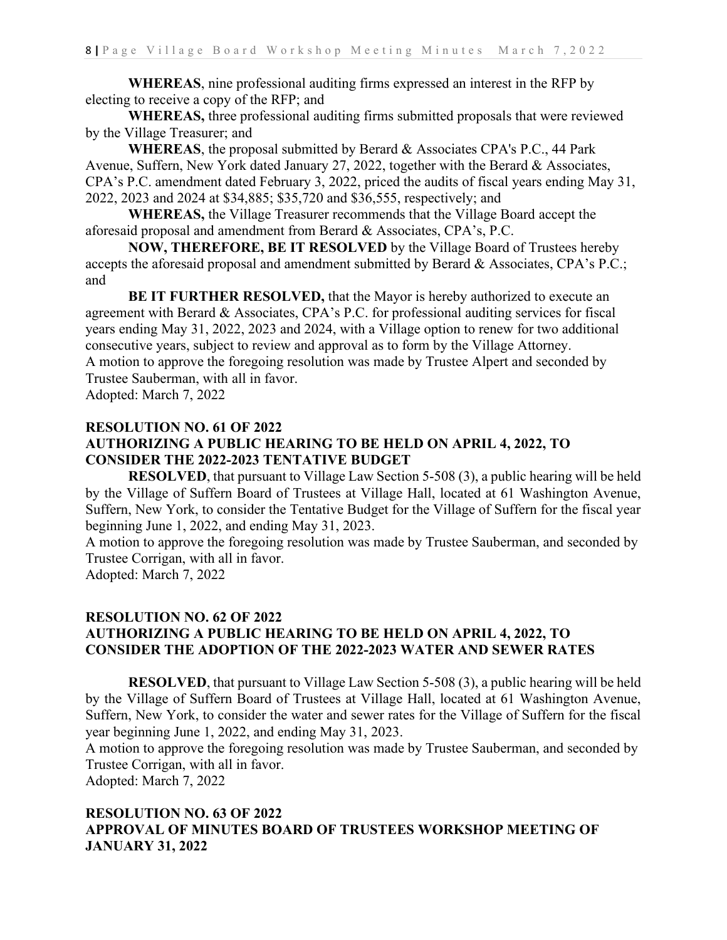**WHEREAS**, nine professional auditing firms expressed an interest in the RFP by electing to receive a copy of the RFP; and

**WHEREAS,** three professional auditing firms submitted proposals that were reviewed by the Village Treasurer; and

**WHEREAS**, the proposal submitted by Berard & Associates CPA's P.C., 44 Park Avenue, Suffern, New York dated January 27, 2022, together with the Berard & Associates, CPA's P.C. amendment dated February 3, 2022, priced the audits of fiscal years ending May 31, 2022, 2023 and 2024 at \$34,885; \$35,720 and \$36,555, respectively; and

**WHEREAS,** the Village Treasurer recommends that the Village Board accept the aforesaid proposal and amendment from Berard & Associates, CPA's, P.C.

**NOW, THEREFORE, BE IT RESOLVED** by the Village Board of Trustees hereby accepts the aforesaid proposal and amendment submitted by Berard & Associates, CPA's P.C.; and

**BE IT FURTHER RESOLVED,** that the Mayor is hereby authorized to execute an agreement with Berard & Associates, CPA's P.C. for professional auditing services for fiscal years ending May 31, 2022, 2023 and 2024, with a Village option to renew for two additional consecutive years, subject to review and approval as to form by the Village Attorney. A motion to approve the foregoing resolution was made by Trustee Alpert and seconded by

Trustee Sauberman, with all in favor.

Adopted: March 7, 2022

### **RESOLUTION NO. 61 OF 2022 AUTHORIZING A PUBLIC HEARING TO BE HELD ON APRIL 4, 2022, TO CONSIDER THE 2022-2023 TENTATIVE BUDGET**

**RESOLVED**, that pursuant to Village Law Section 5-508 (3), a public hearing will be held by the Village of Suffern Board of Trustees at Village Hall, located at 61 Washington Avenue, Suffern, New York, to consider the Tentative Budget for the Village of Suffern for the fiscal year beginning June 1, 2022, and ending May 31, 2023.

A motion to approve the foregoing resolution was made by Trustee Sauberman, and seconded by Trustee Corrigan, with all in favor.

Adopted: March 7, 2022

## **RESOLUTION NO. 62 OF 2022 AUTHORIZING A PUBLIC HEARING TO BE HELD ON APRIL 4, 2022, TO CONSIDER THE ADOPTION OF THE 2022-2023 WATER AND SEWER RATES**

**RESOLVED**, that pursuant to Village Law Section 5-508 (3), a public hearing will be held by the Village of Suffern Board of Trustees at Village Hall, located at 61 Washington Avenue, Suffern, New York, to consider the water and sewer rates for the Village of Suffern for the fiscal year beginning June 1, 2022, and ending May 31, 2023.

A motion to approve the foregoing resolution was made by Trustee Sauberman, and seconded by Trustee Corrigan, with all in favor.

Adopted: March 7, 2022

## **RESOLUTION NO. 63 OF 2022 APPROVAL OF MINUTES BOARD OF TRUSTEES WORKSHOP MEETING OF JANUARY 31, 2022**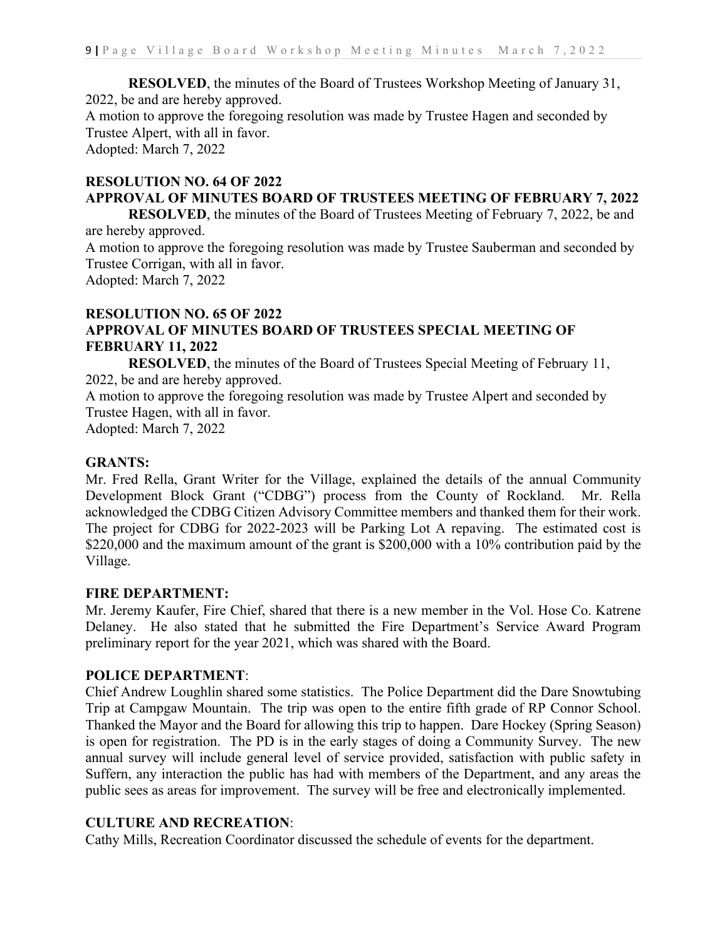**RESOLVED**, the minutes of the Board of Trustees Workshop Meeting of January 31, 2022, be and are hereby approved. A motion to approve the foregoing resolution was made by Trustee Hagen and seconded by Trustee Alpert, with all in favor. Adopted: March 7, 2022

#### **RESOLUTION NO. 64 OF 2022**

## **APPROVAL OF MINUTES BOARD OF TRUSTEES MEETING OF FEBRUARY 7, 2022**

**RESOLVED**, the minutes of the Board of Trustees Meeting of February 7, 2022, be and are hereby approved. A motion to approve the foregoing resolution was made by Trustee Sauberman and seconded by Trustee Corrigan, with all in favor.

Adopted: March 7, 2022

## **RESOLUTION NO. 65 OF 2022 APPROVAL OF MINUTES BOARD OF TRUSTEES SPECIAL MEETING OF FEBRUARY 11, 2022**

**RESOLVED**, the minutes of the Board of Trustees Special Meeting of February 11, 2022, be and are hereby approved.

A motion to approve the foregoing resolution was made by Trustee Alpert and seconded by Trustee Hagen, with all in favor.

Adopted: March 7, 2022

#### **GRANTS:**

Mr. Fred Rella, Grant Writer for the Village, explained the details of the annual Community Development Block Grant ("CDBG") process from the County of Rockland. Mr. Rella acknowledged the CDBG Citizen Advisory Committee members and thanked them for their work. The project for CDBG for 2022-2023 will be Parking Lot A repaving. The estimated cost is \$220,000 and the maximum amount of the grant is \$200,000 with a 10% contribution paid by the Village.

#### **FIRE DEPARTMENT:**

Mr. Jeremy Kaufer, Fire Chief, shared that there is a new member in the Vol. Hose Co. Katrene Delaney. He also stated that he submitted the Fire Department's Service Award Program preliminary report for the year 2021, which was shared with the Board.

#### **POLICE DEPARTMENT**:

Chief Andrew Loughlin shared some statistics. The Police Department did the Dare Snowtubing Trip at Campgaw Mountain. The trip was open to the entire fifth grade of RP Connor School. Thanked the Mayor and the Board for allowing this trip to happen. Dare Hockey (Spring Season) is open for registration. The PD is in the early stages of doing a Community Survey. The new annual survey will include general level of service provided, satisfaction with public safety in Suffern, any interaction the public has had with members of the Department, and any areas the public sees as areas for improvement. The survey will be free and electronically implemented.

#### **CULTURE AND RECREATION**:

Cathy Mills, Recreation Coordinator discussed the schedule of events for the department.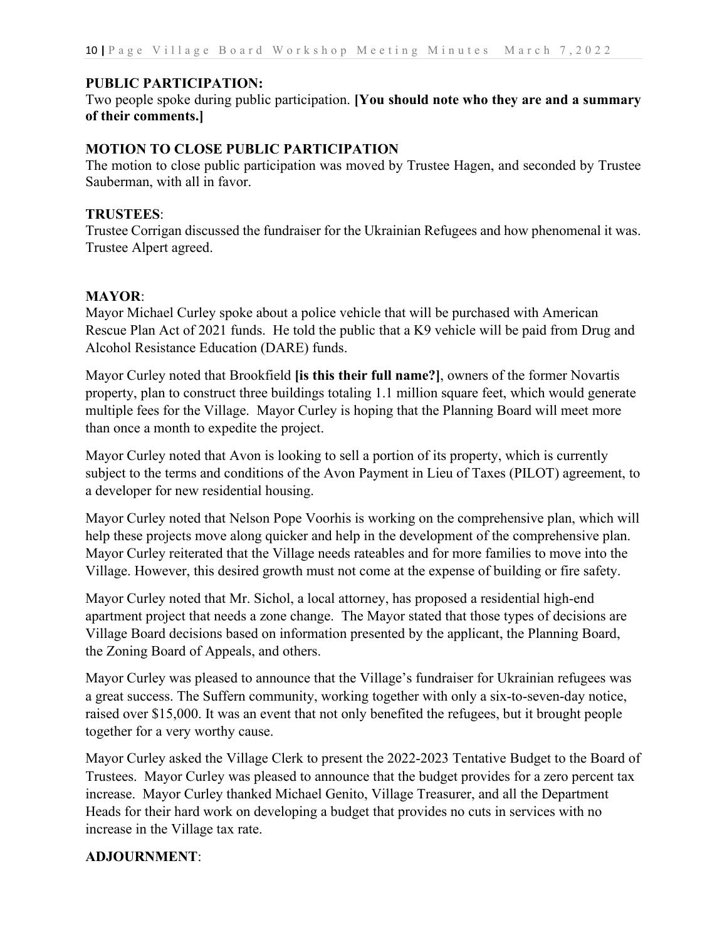#### **PUBLIC PARTICIPATION:**

Two people spoke during public participation. **[You should note who they are and a summary of their comments.]**

#### **MOTION TO CLOSE PUBLIC PARTICIPATION**

The motion to close public participation was moved by Trustee Hagen, and seconded by Trustee Sauberman, with all in favor.

#### **TRUSTEES**:

Trustee Corrigan discussed the fundraiser for the Ukrainian Refugees and how phenomenal it was. Trustee Alpert agreed.

#### **MAYOR**:

Mayor Michael Curley spoke about a police vehicle that will be purchased with American Rescue Plan Act of 2021 funds. He told the public that a K9 vehicle will be paid from Drug and Alcohol Resistance Education (DARE) funds.

Mayor Curley noted that Brookfield **[is this their full name?]**, owners of the former Novartis property, plan to construct three buildings totaling 1.1 million square feet, which would generate multiple fees for the Village. Mayor Curley is hoping that the Planning Board will meet more than once a month to expedite the project.

Mayor Curley noted that Avon is looking to sell a portion of its property, which is currently subject to the terms and conditions of the Avon Payment in Lieu of Taxes (PILOT) agreement, to a developer for new residential housing.

Mayor Curley noted that Nelson Pope Voorhis is working on the comprehensive plan, which will help these projects move along quicker and help in the development of the comprehensive plan. Mayor Curley reiterated that the Village needs rateables and for more families to move into the Village. However, this desired growth must not come at the expense of building or fire safety.

Mayor Curley noted that Mr. Sichol, a local attorney, has proposed a residential high-end apartment project that needs a zone change. The Mayor stated that those types of decisions are Village Board decisions based on information presented by the applicant, the Planning Board, the Zoning Board of Appeals, and others.

Mayor Curley was pleased to announce that the Village's fundraiser for Ukrainian refugees was a great success. The Suffern community, working together with only a six-to-seven-day notice, raised over \$15,000. It was an event that not only benefited the refugees, but it brought people together for a very worthy cause.

Mayor Curley asked the Village Clerk to present the 2022-2023 Tentative Budget to the Board of Trustees. Mayor Curley was pleased to announce that the budget provides for a zero percent tax increase. Mayor Curley thanked Michael Genito, Village Treasurer, and all the Department Heads for their hard work on developing a budget that provides no cuts in services with no increase in the Village tax rate.

#### **ADJOURNMENT**: